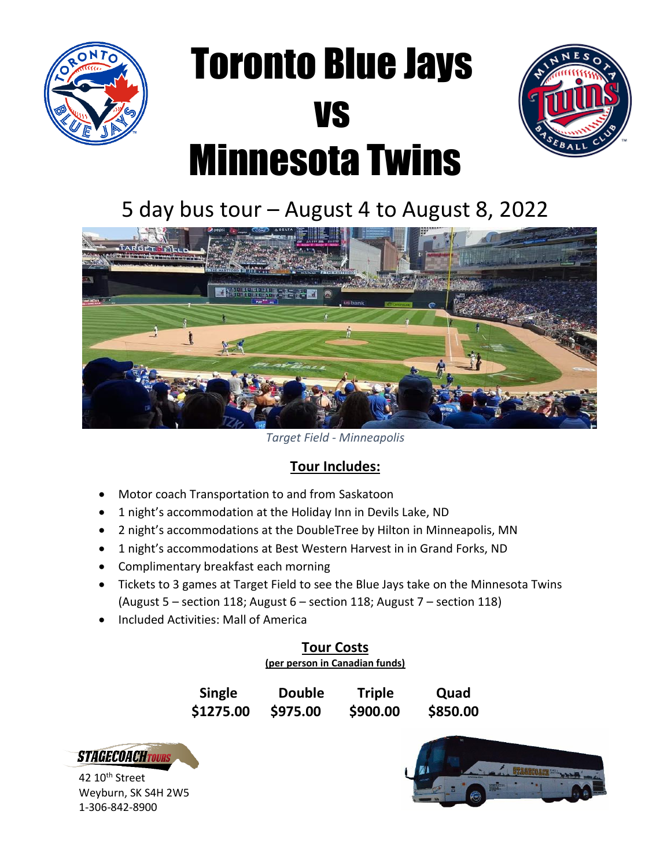

# Toronto Blue Jays vs Minnesota Twins



### 5 day bus tour – August 4 to August 8, 2022



*Target Field - Minneapolis*

#### **Tour Includes:**

- Motor coach Transportation to and from Saskatoon
- 1 night's accommodation at the Holiday Inn in Devils Lake, ND
- 2 night's accommodations at the DoubleTree by Hilton in Minneapolis, MN
- 1 night's accommodations at Best Western Harvest in in Grand Forks, ND
- Complimentary breakfast each morning
- Tickets to 3 games at Target Field to see the Blue Jays take on the Minnesota Twins (August 5 – section 118; August 6 – section 118; August 7 – section 118)
- Included Activities: Mall of America

### **Tour Costs**

**(per person in Canadian funds)**

| <b>Single</b> | <b>Double</b> | <b>Triple</b> | Quad     |
|---------------|---------------|---------------|----------|
| \$1275.00     | \$975.00      | \$900.00      | \$850.00 |



42 10<sup>th</sup> Street Weyburn, SK S4H 2W5 1-306-842-8900

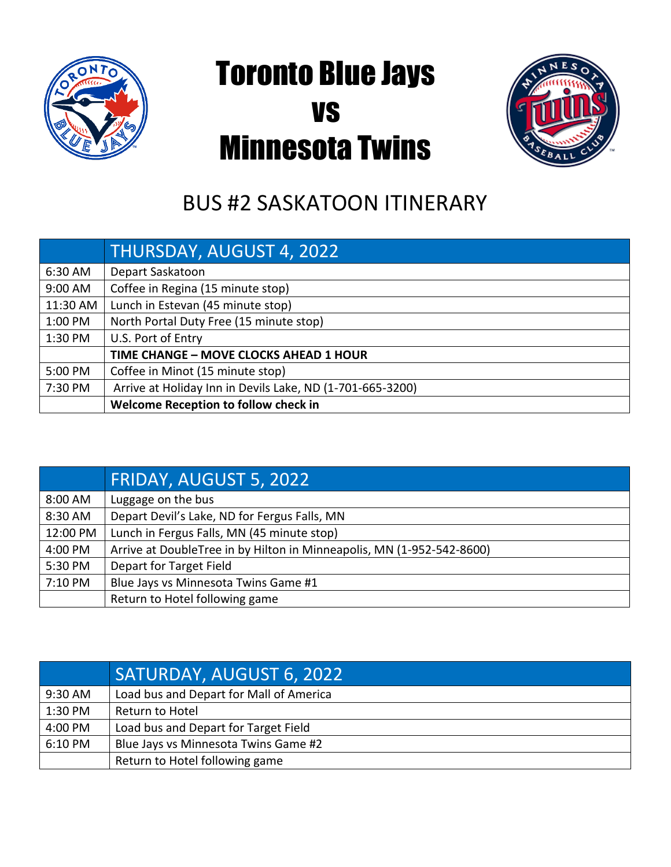

## Toronto Blue Jays vs Minnesota Twins



### BUS #2 SASKATOON ITINERARY

|          | <u> THURSDAY, AUGUST 4, 2022.</u>                         |
|----------|-----------------------------------------------------------|
| 6:30 AM  | Depart Saskatoon                                          |
| 9:00 AM  | Coffee in Regina (15 minute stop)                         |
| 11:30 AM | Lunch in Estevan (45 minute stop)                         |
| 1:00 PM  | North Portal Duty Free (15 minute stop)                   |
| 1:30 PM  | U.S. Port of Entry                                        |
|          | TIME CHANGE - MOVE CLOCKS AHEAD 1 HOUR                    |
| 5:00 PM  | Coffee in Minot (15 minute stop)                          |
| 7:30 PM  | Arrive at Holiday Inn in Devils Lake, ND (1-701-665-3200) |
|          | Welcome Reception to follow check in                      |

|          | FRIDAY, AUGUST 5, 2022                                                |
|----------|-----------------------------------------------------------------------|
| 8:00 AM  | Luggage on the bus                                                    |
| 8:30 AM  | Depart Devil's Lake, ND for Fergus Falls, MN                          |
| 12:00 PM | Lunch in Fergus Falls, MN (45 minute stop)                            |
| 4:00 PM  | Arrive at DoubleTree in by Hilton in Minneapolis, MN (1-952-542-8600) |
| 5:30 PM  | Depart for Target Field                                               |
| 7:10 PM  | Blue Jays vs Minnesota Twins Game #1                                  |
|          | Return to Hotel following game                                        |

|         | SATURDAY, AUGUST 6, 2022                |
|---------|-----------------------------------------|
| 9:30 AM | Load bus and Depart for Mall of America |
| 1:30 PM | Return to Hotel                         |
| 4:00 PM | Load bus and Depart for Target Field    |
| 6:10 PM | Blue Jays vs Minnesota Twins Game #2    |
|         | Return to Hotel following game          |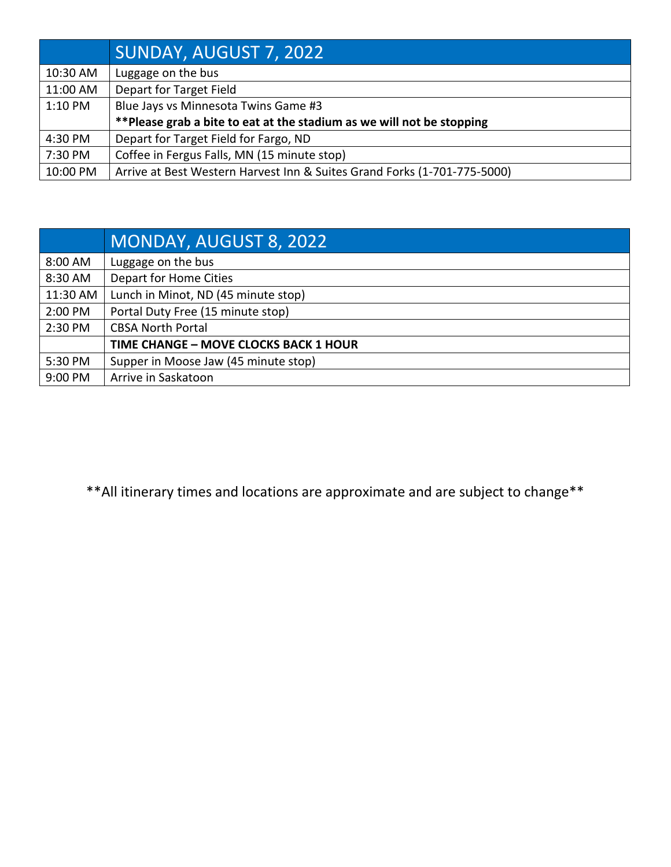|           | SUNDAY, AUGUST 7, 2022                                                   |
|-----------|--------------------------------------------------------------------------|
| 10:30 AM  | Luggage on the bus                                                       |
| 11:00 AM  | Depart for Target Field                                                  |
| $1:10$ PM | Blue Jays vs Minnesota Twins Game #3                                     |
|           | **Please grab a bite to eat at the stadium as we will not be stopping    |
| 4:30 PM   | Depart for Target Field for Fargo, ND                                    |
| 7:30 PM   | Coffee in Fergus Falls, MN (15 minute stop)                              |
| 10:00 PM  | Arrive at Best Western Harvest Inn & Suites Grand Forks (1-701-775-5000) |

|          | MONDAY, AUGUST 8, 2022                |
|----------|---------------------------------------|
| 8:00 AM  | Luggage on the bus                    |
| 8:30 AM  | Depart for Home Cities                |
| 11:30 AM | Lunch in Minot, ND (45 minute stop)   |
| 2:00 PM  | Portal Duty Free (15 minute stop)     |
| 2:30 PM  | <b>CBSA North Portal</b>              |
|          | TIME CHANGE - MOVE CLOCKS BACK 1 HOUR |
| 5:30 PM  | Supper in Moose Jaw (45 minute stop)  |
| 9:00 PM  | Arrive in Saskatoon                   |

\*\*All itinerary times and locations are approximate and are subject to change\*\*